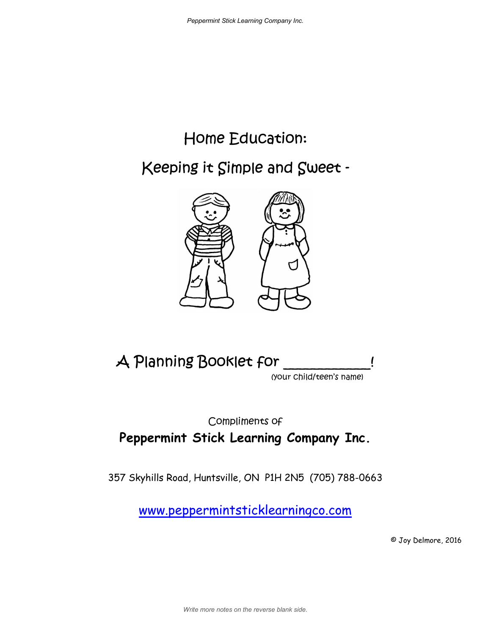# Home Education:

Keeping it Simple and Sweet -





(your child/teen's name)

#### Compliments of **Peppermint Stick Learning Company Inc.**

357 Skyhills Road, Huntsville, ON P1H 2N5 (705) 788-0663

www.peppermintsticklearningco.com

© Joy Delmore, 2016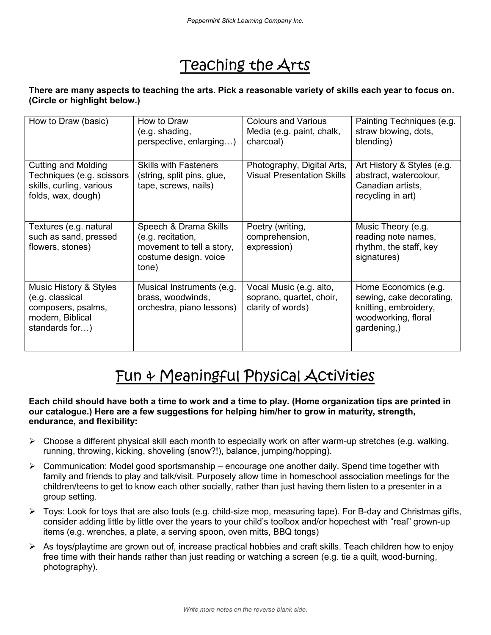### Teaching the Arts

#### **There are many aspects to teaching the arts. Pick a reasonable variety of skills each year to focus on. (Circle or highlight below.)**

| How to Draw (basic)                                                                                   | How to Draw<br>(e.g. shading,<br>perspective, enlarging)                                                  | <b>Colours and Various</b><br>Media (e.g. paint, chalk,<br>charcoal)     | Painting Techniques (e.g.<br>straw blowing, dots,<br>blending)                                                  |
|-------------------------------------------------------------------------------------------------------|-----------------------------------------------------------------------------------------------------------|--------------------------------------------------------------------------|-----------------------------------------------------------------------------------------------------------------|
| Cutting and Molding<br>Techniques (e.g. scissors<br>skills, curling, various<br>folds, wax, dough)    | <b>Skills with Fasteners</b><br>(string, split pins, glue,<br>tape, screws, nails)                        | Photography, Digital Arts,<br><b>Visual Presentation Skills</b>          | Art History & Styles (e.g.<br>abstract, watercolour,<br>Canadian artists,<br>recycling in art)                  |
| Textures (e.g. natural<br>such as sand, pressed<br>flowers, stones)                                   | Speech & Drama Skills<br>(e.g. recitation,<br>movement to tell a story,<br>costume design. voice<br>tone) | Poetry (writing,<br>comprehension,<br>expression)                        | Music Theory (e.g.<br>reading note names,<br>rhythm, the staff, key<br>signatures)                              |
| Music History & Styles<br>(e.g. classical<br>composers, psalms,<br>modern, Biblical<br>standards for) | Musical Instruments (e.g.<br>brass, woodwinds,<br>orchestra, piano lessons)                               | Vocal Music (e.g. alto,<br>soprano, quartet, choir,<br>clarity of words) | Home Economics (e.g.<br>sewing, cake decorating,<br>knitting, embroidery,<br>woodworking, floral<br>gardening,) |

### Fun & Meaningful Physical Activities

#### **Each child should have both a time to work and a time to play. (Home organization tips are printed in our catalogue.) Here are a few suggestions for helping him/her to grow in maturity, strength, endurance, and flexibility:**

- $\triangleright$  Choose a different physical skill each month to especially work on after warm-up stretches (e.g. walking, running, throwing, kicking, shoveling (snow?!), balance, jumping/hopping).
- $\triangleright$  Communication: Model good sportsmanship encourage one another daily. Spend time together with family and friends to play and talk/visit. Purposely allow time in homeschool association meetings for the children/teens to get to know each other socially, rather than just having them listen to a presenter in a group setting.
- Toys: Look for toys that are also tools (e.g. child-size mop, measuring tape). For B-day and Christmas gifts, consider adding little by little over the years to your child's toolbox and/or hopechest with "real" grown-up items (e.g. wrenches, a plate, a serving spoon, oven mitts, BBQ tongs)
- $\triangleright$  As toys/playtime are grown out of, increase practical hobbies and craft skills. Teach children how to enjoy free time with their hands rather than just reading or watching a screen (e.g. tie a quilt, wood-burning, photography).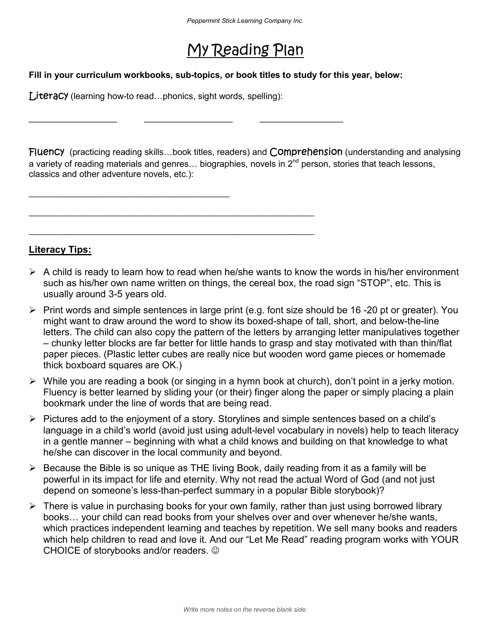### My Reading Plan

#### **Fill in your curriculum workbooks, sub-topics, or book titles to study for this year, below:**

**Literacy** (learning how-to read...phonics, sight words, spelling):

 $\_$  . The contribution of the contribution of  $\mathcal{L}_\mathcal{A}$ 

\_\_\_\_\_\_\_\_\_\_\_\_\_\_\_\_\_\_ \_\_\_\_\_\_\_\_\_\_\_\_\_\_\_\_\_\_ \_\_\_\_\_\_\_\_\_\_\_\_\_\_\_\_\_

\_\_\_\_\_\_\_\_\_\_\_\_\_\_\_\_\_\_\_\_\_\_\_\_\_\_\_\_\_\_\_\_\_\_\_\_\_\_\_\_\_\_\_\_\_\_\_\_\_\_\_\_\_\_\_\_\_\_\_\_\_\_\_\_

\_\_\_\_\_\_\_\_\_\_\_\_\_\_\_\_\_\_\_\_\_\_\_\_\_\_\_\_\_\_\_\_\_\_\_\_\_\_\_\_\_\_\_\_\_\_\_\_\_\_\_\_\_\_\_\_\_\_\_\_\_\_\_\_

Fluency (practicing reading skills...book titles, readers) and Comprehension (understanding and analysing a variety of reading materials and genres... biographies, novels in  $2^{nd}$  person, stories that teach lessons, classics and other adventure novels, etc.):

**Literacy Tips:** 

- $\triangleright$  A child is ready to learn how to read when he/she wants to know the words in his/her environment such as his/her own name written on things, the cereal box, the road sign "STOP", etc. This is usually around 3-5 years old.
- $\triangleright$  Print words and simple sentences in large print (e.g. font size should be 16-20 pt or greater). You might want to draw around the word to show its boxed-shape of tall, short, and below-the-line letters. The child can also copy the pattern of the letters by arranging letter manipulatives together – chunky letter blocks are far better for little hands to grasp and stay motivated with than thin/flat paper pieces. (Plastic letter cubes are really nice but wooden word game pieces or homemade thick boxboard squares are OK.)
- $\triangleright$  While you are reading a book (or singing in a hymn book at church), don't point in a jerky motion. Fluency is better learned by sliding your (or their) finger along the paper or simply placing a plain bookmark under the line of words that are being read.
- $\triangleright$  Pictures add to the enjoyment of a story. Storylines and simple sentences based on a child's language in a child's world (avoid just using adult-level vocabulary in novels) help to teach literacy in a gentle manner – beginning with what a child knows and building on that knowledge to what he/she can discover in the local community and beyond.
- $\triangleright$  Because the Bible is so unique as THE living Book, daily reading from it as a family will be powerful in its impact for life and eternity. Why not read the actual Word of God (and not just depend on someone's less-than-perfect summary in a popular Bible storybook)?
- $\triangleright$  There is value in purchasing books for your own family, rather than just using borrowed library books... your child can read books from your shelves over and over whenever he/she wants, which practices independent learning and teaches by repetition. We sell many books and readers which help children to read and love it. And our "Let Me Read" reading program works with YOUR CHOICE of storybooks and/or readers.  $\odot$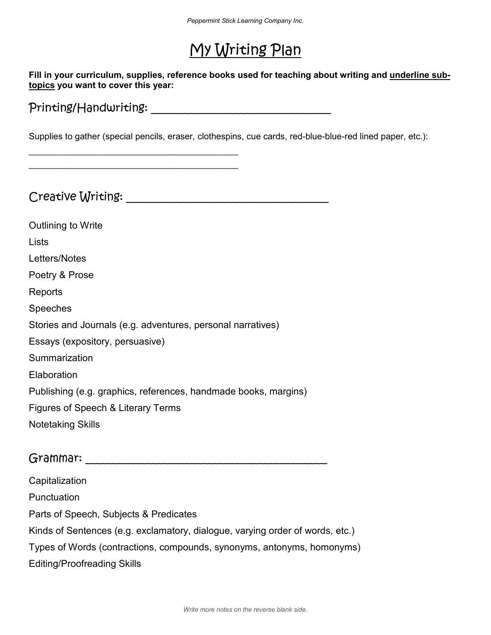## My Writing Plan

**Fill in your curriculum, supplies, reference books used for teaching about writing and underline subtopics you want to cover this year:** 

Printing/Handwriting: The contract of the contract of the contract of the contract of the contract of the contract of the contract of the contract of the contract of the contract of the contract of the contract of the cont

\_\_\_\_\_\_\_\_\_\_\_\_\_\_\_\_\_\_\_\_\_\_\_\_\_\_\_\_\_\_\_\_\_\_\_\_\_\_\_\_\_\_\_\_\_\_\_ \_\_\_\_\_\_\_\_\_\_\_\_\_\_\_\_\_\_\_\_\_\_\_\_\_\_\_\_\_\_\_\_\_\_\_\_\_\_\_\_\_\_\_\_\_\_\_

Supplies to gather (special pencils, eraser, clothespins, cue cards, red-blue-blue-red lined paper, etc.):

Creative Writing: \_\_\_\_\_\_\_\_\_\_\_\_\_\_\_\_\_\_\_\_\_\_\_\_\_\_\_\_\_\_\_\_\_\_\_\_

Outlining to Write Lists Letters/Notes Poetry & Prose Reports Speeches Stories and Journals (e.g. adventures, personal narratives) Essays (expository, persuasive) Summarization **Elaboration** Publishing (e.g. graphics, references, handmade books, margins) Figures of Speech & Literary Terms Notetaking Skills

#### Grammar: \_\_\_\_\_\_\_\_\_\_\_\_\_\_\_\_\_\_\_\_\_\_\_\_\_\_\_\_\_\_\_\_\_\_\_\_\_\_\_\_\_\_\_

**Capitalization Punctuation** Parts of Speech, Subjects & Predicates Kinds of Sentences (e.g. exclamatory, dialogue, varying order of words, etc.) Types of Words (contractions, compounds, synonyms, antonyms, homonyms) Editing/Proofreading Skills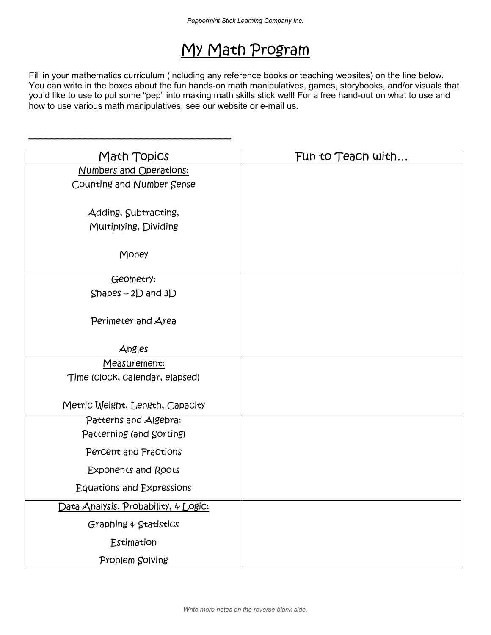### My Math Program

Fill in your mathematics curriculum (including any reference books or teaching websites) on the line below. You can write in the boxes about the fun hands-on math manipulatives, games, storybooks, and/or visuals that you'd like to use to put some "pep" into making math skills stick well! For a free hand-out on what to use and how to use various math manipulatives, see our website or e-mail us.

 $\overline{\phantom{a}}$  , and the contract of the contract of the contract of the contract of the contract of the contract of the contract of the contract of the contract of the contract of the contract of the contract of the contrac

| Math Topics                          | Fun to Teach with |  |  |
|--------------------------------------|-------------------|--|--|
| Numbers and Operations:              |                   |  |  |
| Counting and Number Sense            |                   |  |  |
|                                      |                   |  |  |
| Adding, Subtracting,                 |                   |  |  |
| Multiplying, Dividing                |                   |  |  |
| Money                                |                   |  |  |
| Geometry:                            |                   |  |  |
| $Shapes - 2D$ and $3D$               |                   |  |  |
|                                      |                   |  |  |
| Perimeter and Area                   |                   |  |  |
|                                      |                   |  |  |
| Angles                               |                   |  |  |
| <u>Measurement:</u>                  |                   |  |  |
| Time (Clock, Calendar, elapsed)      |                   |  |  |
| Metric Weight, Length, Capacity      |                   |  |  |
| Patterns and Algebra:                |                   |  |  |
| Patterning (and Sorting)             |                   |  |  |
| Percent and Fractions                |                   |  |  |
| <b>Exponents and Roots</b>           |                   |  |  |
| <b>Equations and Expressions</b>     |                   |  |  |
| Data Analysis, Probability, 4 Logic: |                   |  |  |
| Graphing & Statistics                |                   |  |  |
| Estimation                           |                   |  |  |
| Problem Solving                      |                   |  |  |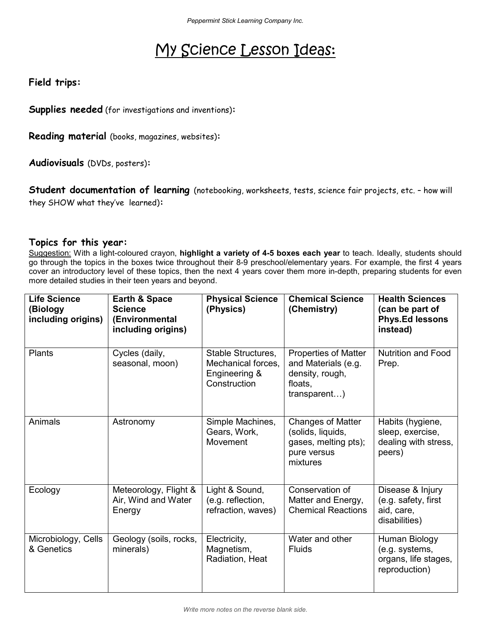## My Science Lesson Ideas:

**Field trips:** 

**Supplies needed** (for investigations and inventions)**:**

**Reading material** (books, magazines, websites)**:**

**Audiovisuals** (DVDs, posters)**:**

**Student documentation of learning** (notebooking, worksheets, tests, science fair projects, etc. – how will they SHOW what they've learned)**:**

#### **Topics for this year:**

Suggestion: With a light-coloured crayon, **highlight a variety of 4-5 boxes each year** to teach. Ideally, students should go through the topics in the boxes twice throughout their 8-9 preschool/elementary years. For example, the first 4 years cover an introductory level of these topics, then the next 4 years cover them more in-depth, preparing students for even more detailed studies in their teen years and beyond.

| <b>Life Science</b><br>(Biology<br>including origins) | Earth & Space<br><b>Science</b><br>(Environmental<br>including origins) | <b>Physical Science</b><br>(Physics)                                      | <b>Chemical Science</b><br>(Chemistry)                                                           | <b>Health Sciences</b><br>(can be part of<br><b>Phys.Ed lessons</b><br>instead) |
|-------------------------------------------------------|-------------------------------------------------------------------------|---------------------------------------------------------------------------|--------------------------------------------------------------------------------------------------|---------------------------------------------------------------------------------|
| Plants                                                | Cycles (daily,<br>seasonal, moon)                                       | Stable Structures,<br>Mechanical forces.<br>Engineering &<br>Construction | <b>Properties of Matter</b><br>and Materials (e.g.<br>density, rough,<br>floats,<br>transparent) | <b>Nutrition and Food</b><br>Prep.                                              |
| Animals                                               | Astronomy                                                               | Simple Machines,<br>Gears, Work,<br>Movement                              | <b>Changes of Matter</b><br>(solids, liquids,<br>gases, melting pts);<br>pure versus<br>mixtures | Habits (hygiene,<br>sleep, exercise,<br>dealing with stress,<br>peers)          |
| Ecology                                               | Meteorology, Flight &<br>Air, Wind and Water<br>Energy                  | Light & Sound,<br>(e.g. reflection,<br>refraction, waves)                 | Conservation of<br>Matter and Energy,<br><b>Chemical Reactions</b>                               | Disease & Injury<br>(e.g. safety, first<br>aid, care,<br>disabilities)          |
| Microbiology, Cells<br>& Genetics                     | Geology (soils, rocks,<br>minerals)                                     | Electricity,<br>Magnetism,<br>Radiation, Heat                             | Water and other<br><b>Fluids</b>                                                                 | Human Biology<br>(e.g. systems,<br>organs, life stages,<br>reproduction)        |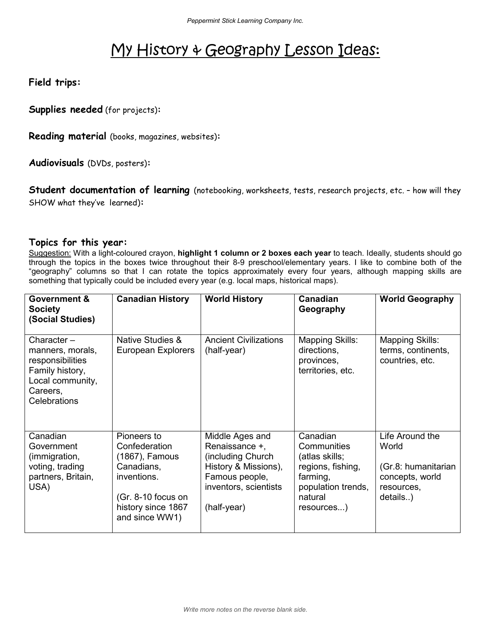### My History & Geography Lesson Ideas:

**Field trips:** 

**Supplies needed** (for projects)**:**

**Reading material** (books, magazines, websites)**:**

**Audiovisuals** (DVDs, posters)**:**

**Student documentation of learning** (notebooking, worksheets, tests, research projects, etc. – how will they SHOW what they've learned)**:**

#### **Topics for this year:**

Suggestion: With a light-coloured crayon, **highlight 1 column or 2 boxes each year** to teach. Ideally, students should go through the topics in the boxes twice throughout their 8-9 preschool/elementary years. I like to combine both of the "geography" columns so that I can rotate the topics approximately every four years, although mapping skills are something that typically could be included every year (e.g. local maps, historical maps).

| <b>Government &amp;</b><br>Society<br>(Social Studies)                                                                | <b>Canadian History</b>                                                                                                                     | <b>World History</b>                                                                                                                      | <b>Canadian</b><br>Geography                                                                                              | <b>World Geography</b>                                                                       |
|-----------------------------------------------------------------------------------------------------------------------|---------------------------------------------------------------------------------------------------------------------------------------------|-------------------------------------------------------------------------------------------------------------------------------------------|---------------------------------------------------------------------------------------------------------------------------|----------------------------------------------------------------------------------------------|
| Character-<br>manners, morals,<br>responsibilities<br>Family history,<br>Local community,<br>Careers,<br>Celebrations | <b>Native Studies &amp;</b><br><b>European Explorers</b>                                                                                    | <b>Ancient Civilizations</b><br>(half-year)                                                                                               | <b>Mapping Skills:</b><br>directions,<br>provinces,<br>territories, etc.                                                  | <b>Mapping Skills:</b><br>terms, continents,<br>countries, etc.                              |
| Canadian<br>Government<br>(immigration,<br>voting, trading<br>partners, Britain,<br>USA)                              | Pioneers to<br>Confederation<br>(1867), Famous<br>Canadians,<br>inventions.<br>$(Gr. 8-10$ focus on<br>history since 1867<br>and since WW1) | Middle Ages and<br>Renaissance +,<br>(including Church)<br>History & Missions),<br>Famous people,<br>inventors, scientists<br>(half-year) | Canadian<br>Communities<br>(atlas skills;<br>regions, fishing,<br>farming,<br>population trends,<br>natural<br>resources) | Life Around the<br>World<br>(Gr.8: humanitarian<br>concepts, world<br>resources,<br>details) |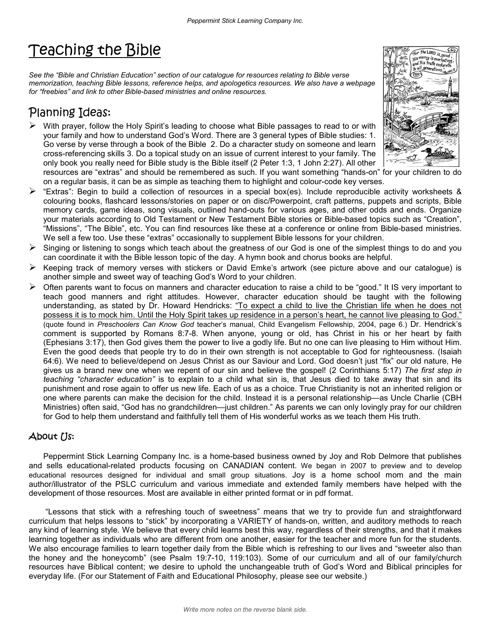## Teaching the Bible

*See the "Bible and Christian Education" section of our catalogue for resources relating to Bible verse memorization, teaching Bible lessons, reference helps, and apologetics resources. We also have a webpage for "freebies" and link to other Bible-based ministries and online resources.* 

#### Planning Ideas:

 $\triangleright$  With prayer, follow the Holy Spirit's leading to choose what Bible passages to read to or with your family and how to understand God's Word. There are 3 general types of Bible studies: 1. Go verse by verse through a book of the Bible 2. Do a character study on someone and learn cross-referencing skills 3. Do a topical study on an issue of current interest to your family. The only book you really need for Bible study is the Bible itself (2 Peter 1:3, 1 John 2:27). All other



- resources are "extras" and should be remembered as such. If you want something "hands-on" for your children to do on a regular basis, it can be as simple as teaching them to highlight and colour-code key verses.
- "Extras": Begin to build a collection of resources in a special box(es). Include reproducible activity worksheets & colouring books, flashcard lessons/stories on paper or on disc/Powerpoint, craft patterns, puppets and scripts, Bible memory cards, game ideas, song visuals, outlined hand-outs for various ages, and other odds and ends. Organize your materials according to Old Testament or New Testament Bible stories or Bible-based topics such as "Creation", "Missions", "The Bible", etc. You can find resources like these at a conference or online from Bible-based ministries. We sell a few too. Use these "extras" occasionally to supplement Bible lessons for your children.
- Singing or listening to songs which teach about the greatness of our God is one of the simplest things to do and you can coordinate it with the Bible lesson topic of the day. A hymn book and chorus books are helpful.
- $\triangleright$  Keeping track of memory verses with stickers or David Emke's artwork (see picture above and our catalogue) is another simple and sweet way of teaching God's Word to your children.
- $\triangleright$  Often parents want to focus on manners and character education to raise a child to be "good." It IS very important to teach good manners and right attitudes. However, character education should be taught with the following understanding, as stated by Dr. Howard Hendricks: "To expect a child to live the Christian life when he does not possess it is to mock him. Until the Holy Spirit takes up residence in a person's heart, he cannot live pleasing to God." (quote found in *Preschoolers Can Know God* teacher's manual, Child Evangelism Fellowship, 2004, page 6.) Dr. Hendrick's comment is supported by Romans 8:7-8. When anyone, young or old, has Christ in his or her heart by faith (Ephesians 3:17), then God gives them the power to live a godly life. But no one can live pleasing to Him without Him. Even the good deeds that people try to do in their own strength is not acceptable to God for righteousness. (Isaiah 64:6). We need to believe/depend on Jesus Christ as our Saviour and Lord. God doesn't just "fix" our old nature, He gives us a brand new one when we repent of our sin and believe the gospel! (2 Corinthians 5:17) *The first step in teaching "character education"* is to explain to a child what sin is, that Jesus died to take away that sin and its punishment and rose again to offer us new life. Each of us as a choice. True Christianity is not an inherited religion or one where parents can make the decision for the child. Instead it is a personal relationship—as Uncle Charlie (CBH Ministries) often said, "God has no grandchildren—just children." As parents we can only lovingly pray for our children for God to help them understand and faithfully tell them of His wonderful works as we teach them His truth.

#### About Us:

Peppermint Stick Learning Company Inc. is a home-based business owned by Joy and Rob Delmore that publishes and sells educational-related products focusing on CANADIAN content. We began in 2007 to preview and to develop educational resources designed for individual and small group situations. Joy is a home school mom and the main author/illustrator of the PSLC curriculum and various immediate and extended family members have helped with the development of those resources. Most are available in either printed format or in pdf format.

 "Lessons that stick with a refreshing touch of sweetness" means that we try to provide fun and straightforward curriculum that helps lessons to "stick" by incorporating a VARIETY of hands-on, written, and auditory methods to reach any kind of learning style. We believe that every child learns best this way, regardless of their strengths, and that it makes learning together as individuals who are different from one another, easier for the teacher and more fun for the students. We also encourage families to learn together daily from the Bible which is refreshing to our lives and "sweeter also than the honey and the honeycomb" (see Psalm 19:7-10, 119:103). Some of our curriculum and all of our family/church resources have Biblical content; we desire to uphold the unchangeable truth of God's Word and Biblical principles for everyday life. (For our Statement of Faith and Educational Philosophy, please see our website.)